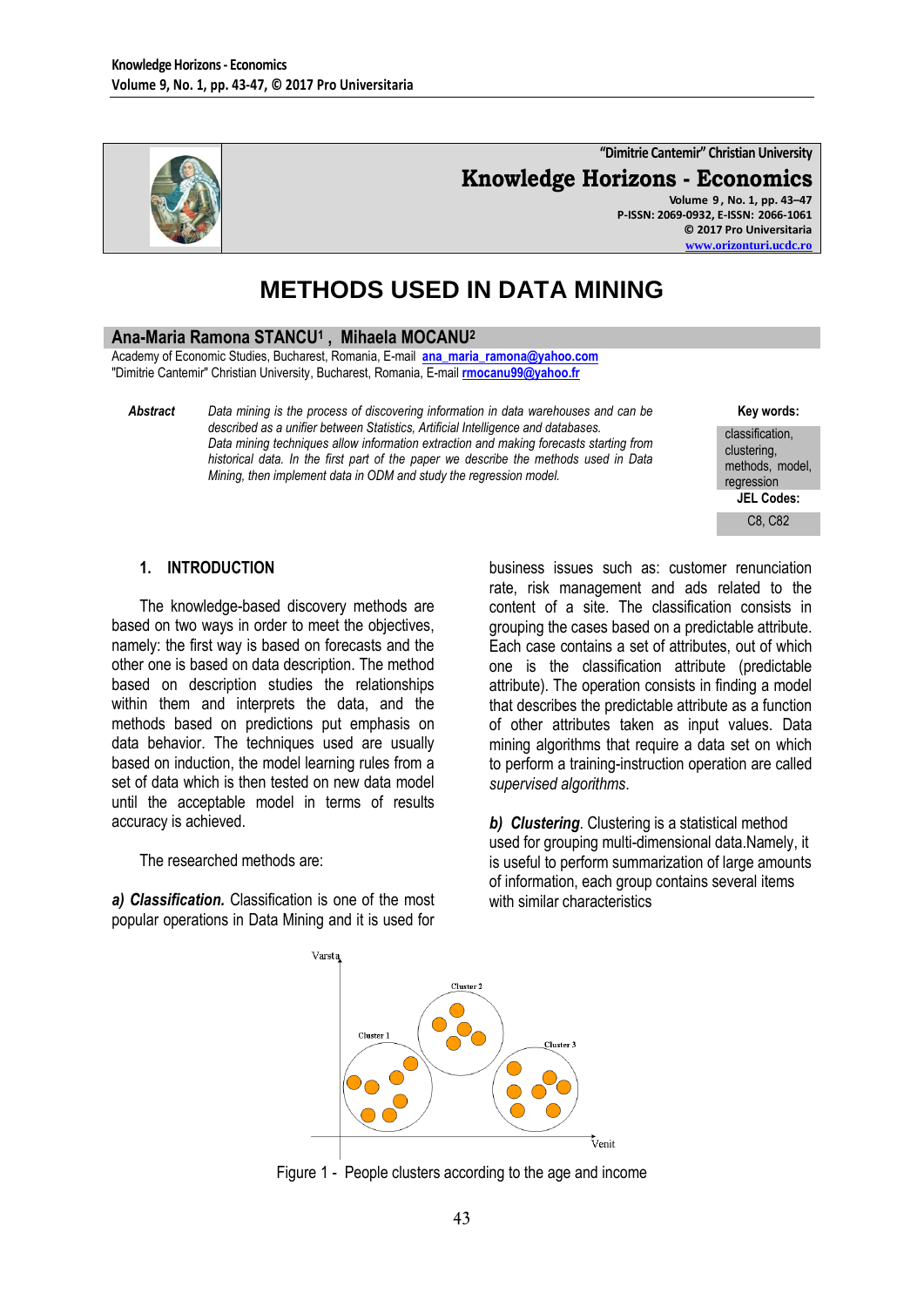

**"Dimitrie Cantemir" Christian University Knowledge Horizons - Economics Volume 9 , No. 1, pp. 43–47 P-ISSN: 2069-0932, E-ISSN: 2066-1061**

**© 2017 Pro Universitaria [www.orizonturi.ucdc.ro](http://www.orizonturi.ucdc.ro/)**

# **METHODS USED IN DATA MINING**

### **Ana-Maria Ramona STANCU<sup>1</sup> , Mihaela MOCANU<sup>2</sup>**

Academy of Economic Studies, Bucharest, Romania, E-mail **[ana\\_maria\\_ramona@yahoo.com](mailto:ana_maria_ramona@yahoo.com)** "Dimitrie Cantemir" Christian University, Bucharest, Romania, E-mail **[rmocanu99@yahoo.fr](mailto:rmocanu99@yahoo.fr)**

*Abstract Data mining is the process of discovering information in data warehouses and can be described as a unifier between Statistics, Artificial Intelligence and databases. Data mining techniques allow information extraction and making forecasts starting from historical data. In the first part of the paper we describe the methods used in Data Mining, then implement data in ODM and study the regression model.*

**Key words:**

classification, clustering, methods, model, regression **JEL Codes:**

C8, C82

### **1. INTRODUCTION**

The knowledge-based discovery methods are based on two ways in order to meet the objectives, namely: the first way is based on forecasts and the other one is based on data description. The method based on description studies the relationships within them and interprets the data, and the methods based on predictions put emphasis on data behavior. The techniques used are usually based on induction, the model learning rules from a set of data which is then tested on new data model until the acceptable model in terms of results accuracy is achieved.

The researched methods are:

*a) Classification.* Classification is one of the most popular operations in Data Mining and it is used for

business issues such as: customer renunciation rate, risk management and ads related to the content of a site. The classification consists in grouping the cases based on a predictable attribute. Each case contains a set of attributes, out of which one is the classification attribute (predictable attribute). The operation consists in finding a model that describes the predictable attribute as a function of other attributes taken as input values. Data mining algorithms that require a data set on which to perform a training-instruction operation are called *supervised algorithms*.

*b) Clustering*. Clustering is a statistical method used for grouping multi-dimensional data.Namely, it is useful to perform summarization of large amounts of information, each group contains several items with similar characteristics



Figure 1 - People clusters according to the age and income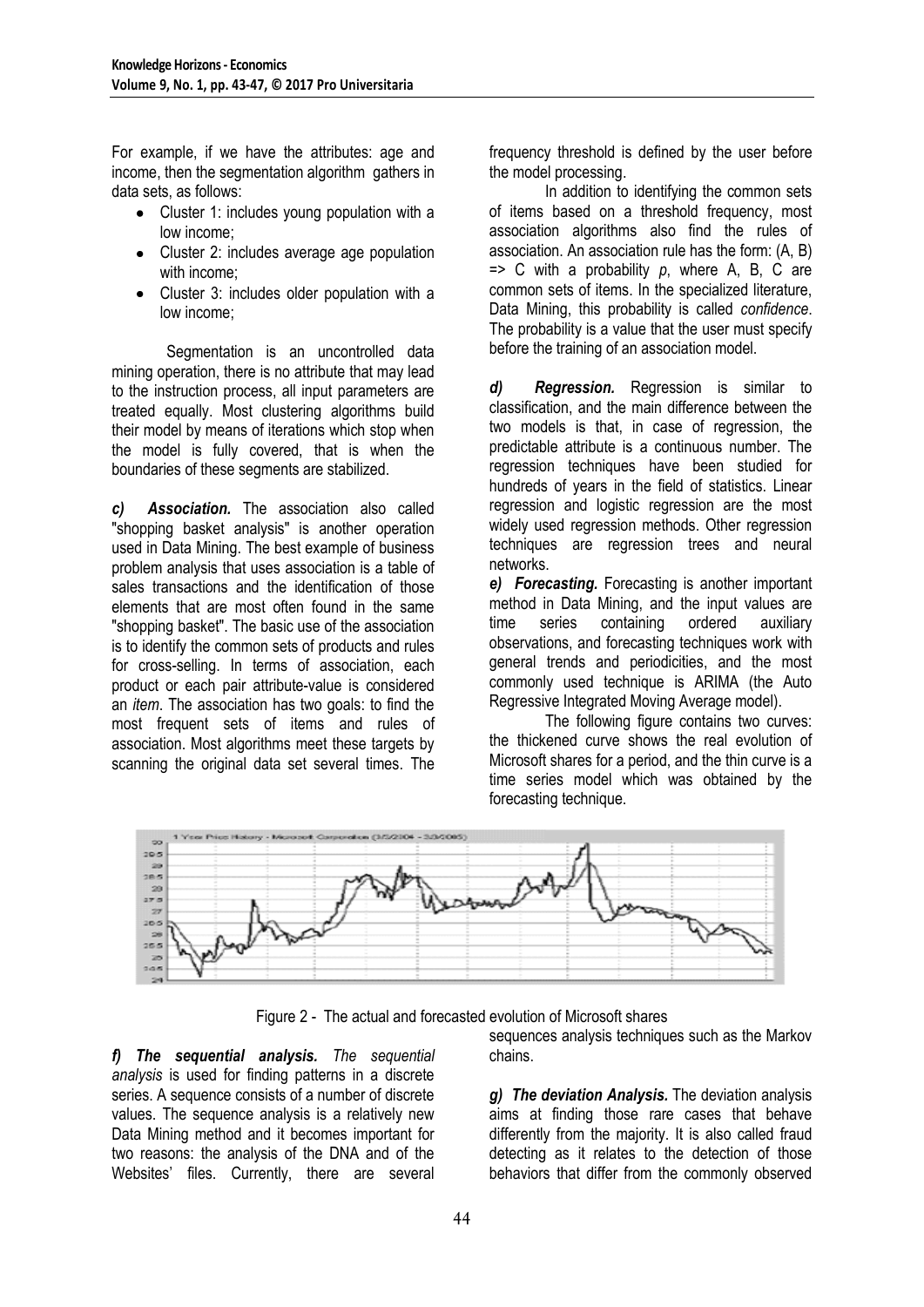For example, if we have the attributes: age and income, then the segmentation algorithm gathers in data sets, as follows:

- Cluster 1: includes young population with a low income;
- Cluster 2: includes average age population with income;
- Cluster 3: includes older population with a low income;

Segmentation is an uncontrolled data mining operation, there is no attribute that may lead to the instruction process, all input parameters are treated equally. Most clustering algorithms build their model by means of iterations which stop when the model is fully covered, that is when the boundaries of these segments are stabilized.

*c) Association.* The association also called "shopping basket analysis" is another operation used in Data Mining. The best example of business problem analysis that uses association is a table of sales transactions and the identification of those elements that are most often found in the same "shopping basket". The basic use of the association is to identify the common sets of products and rules for cross-selling. In terms of association, each product or each pair attribute-value is considered an *item*. The association has two goals: to find the most frequent sets of items and rules of association. Most algorithms meet these targets by scanning the original data set several times. The

frequency threshold is defined by the user before the model processing.

In addition to identifying the common sets of items based on a threshold frequency, most association algorithms also find the rules of association. An association rule has the form: (A, B) => C with a probability *p*, where A, B, C are common sets of items. In the specialized literature, Data Mining, this probability is called *confidence*. The probability is a value that the user must specify before the training of an association model.

*d) Regression.* Regression is similar to classification, and the main difference between the two models is that, in case of regression, the predictable attribute is a continuous number. The regression techniques have been studied for hundreds of years in the field of statistics. Linear regression and logistic regression are the most widely used regression methods. Other regression techniques are regression trees and neural networks.

*e) Forecasting.* Forecasting is another important method in Data Mining, and the input values are time series containing ordered auxiliary observations, and forecasting techniques work with general trends and periodicities, and the most commonly used technique is ARIMA (the Auto Regressive Integrated Moving Average model).

The following figure contains two curves: the thickened curve shows the real evolution of Microsoft shares for a period, and the thin curve is a time series model which was obtained by the forecasting technique.



Figure 2 - The actual and forecasted evolution of Microsoft shares

*f) The sequential analysis. The sequential analysis* is used for finding patterns in a discrete series. A sequence consists of a number of discrete values. The sequence analysis is a relatively new Data Mining method and it becomes important for two reasons: the analysis of the DNA and of the Websites' files. Currently, there are several

sequences analysis techniques such as the Markov chains.

*g) The deviation Analysis.* The deviation analysis aims at finding those rare cases that behave differently from the majority. It is also called fraud detecting as it relates to the detection of those behaviors that differ from the commonly observed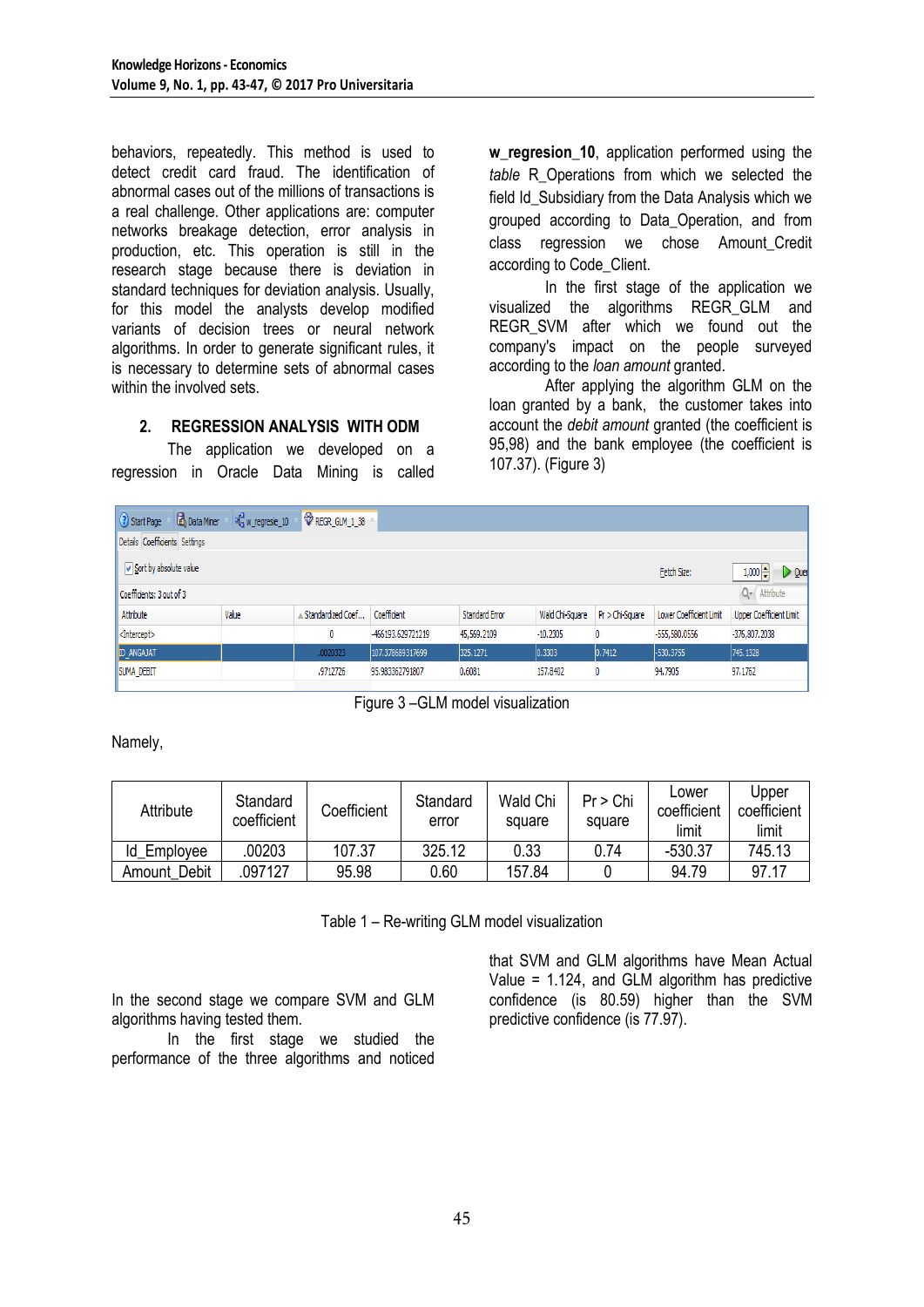behaviors, repeatedly. This method is used to detect credit card fraud. The identification of abnormal cases out of the millions of transactions is a real challenge. Other applications are: computer networks breakage detection, error analysis in production, etc. This operation is still in the research stage because there is deviation in standard techniques for deviation analysis. Usually, for this model the analysts develop modified variants of decision trees or neural network algorithms. In order to generate significant rules, it is necessary to determine sets of abnormal cases within the involved sets.

## **2. REGRESSION ANALYSIS WITH ODM**

The application we developed on a regression in Oracle Data Mining is called w regresion 10, application performed using the *table* R\_Operations from which we selected the field Id Subsidiary from the Data Analysis which we grouped according to Data\_Operation, and from class regression we chose Amount\_Credit according to Code\_Client.

In the first stage of the application we visualized the algorithms REGR\_GLM and REGR SVM after which we found out the company's impact on the people surveyed according to the *loan amount* granted.

After applying the algorithm GLM on the loan granted by a bank, the customer takes into account the *debit amount* granted (the coefficient is 95,98) and the bank employee (the coefficient is 107.37). (Figure 3)

| <b>3</b> Start Page<br><b>B</b> Data Miner<br>old w_regresie_10<br>REGR_GLM_1_38 X |       |                   |                   |                       |                 |                   |                         |                                |
|------------------------------------------------------------------------------------|-------|-------------------|-------------------|-----------------------|-----------------|-------------------|-------------------------|--------------------------------|
| Details Coefficients Settings                                                      |       |                   |                   |                       |                 |                   |                         |                                |
| $\sqrt{\ }$ Sort by absolute value<br>Fetch Size:<br>1,000                         |       |                   |                   |                       |                 |                   | $\triangleright$ Quer   |                                |
| $Q -$ Attribute<br>Coefficients: 3 out of 3                                        |       |                   |                   |                       |                 |                   |                         |                                |
| Attribute                                                                          | Value | Standardized Coef | Coefficient       | <b>Standard Error</b> | Wald Chi-Square | $Pr$ > Chi-Square | Lower Coefficient Limit | <b>Upper Coefficient Limit</b> |
| <intercept></intercept>                                                            |       | 0                 | -466193.629721219 | 45,569,2109           | $-10.2305$      | 0                 | -555,580.0556           | $-376,807,2038$                |
| ID_ANGAJAT                                                                         |       | .0020323          | 107.378689317699  | 325, 1271             | 0.3303          | 0.7412            | -530.3755               | 745.1328                       |
| <b>ISUMA DEBIT</b>                                                                 |       | .9712726          | 95.983362791807   | 0.6081                | 157,8402        | 0                 | 94,7905                 | 97.1762                        |

Figure 3 –GLM model visualization

Namely,

| Attribute    | Standard<br>coefficient | Coefficient | Standard<br>error | Wald Chi<br>square | Pr > Chi<br>square | Lower<br>coefficient<br>limit | Upper<br>coefficient<br>limit |
|--------------|-------------------------|-------------|-------------------|--------------------|--------------------|-------------------------------|-------------------------------|
| Id Employee  | 00203                   | 107.37      | 325.12            | 0.33               | 0.74               | $-530.37$                     | 745.13                        |
| Amount Debit | 097127                  | 95.98       | 0.60              | 157.84             |                    | 94.79                         | 97.17                         |

Table 1 – Re-writing GLM model visualization

In the second stage we compare SVM and GLM algorithms having tested them.

In the first stage we studied the performance of the three algorithms and noticed that SVM and GLM algorithms have Mean Actual Value  $= 1.124$ , and GLM algorithm has predictive confidence (is 80.59) higher than the SVM predictive confidence (is 77.97).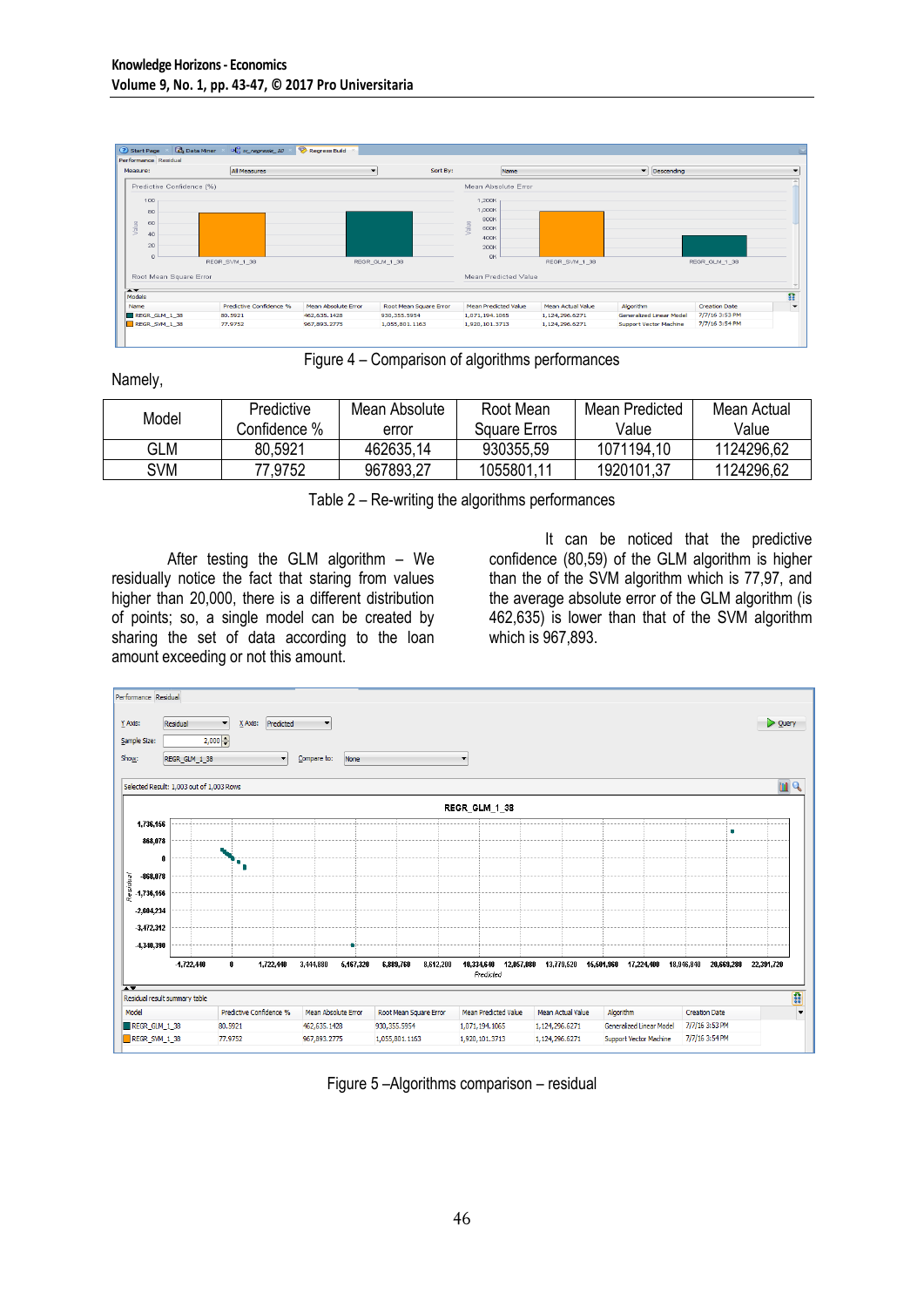

Figure 4 – Comparison of algorithms performances

Namely,

| Model | Predictive   | Mean Absolute | Root Mean    | Mean Predicted | Mean Actual |
|-------|--------------|---------------|--------------|----------------|-------------|
|       | Confidence % | error         | Square Erros | Value          | Value       |
| GLM   | 80,5921      | 462635,14     | 930355,59    | 1071194,10     | 1124296,62  |
| SVM   | 77,9752      | 967893,27     | 1055801.11   | 1920101.37     | 1124296,62  |

Table 2 – Re-writing the algorithms performances

After testing the GLM algorithm – We residually notice the fact that staring from values higher than 20,000, there is a different distribution of points; so, a single model can be created by sharing the set of data according to the loan amount exceeding or not this amount.

It can be noticed that the predictive confidence (80,59) of the GLM algorithm is higher than the of the SVM algorithm which is 77,97, and the average absolute error of the GLM algorithm (is 462,635) is lower than that of the SVM algorithm which is 967,893.



Figure 5 –Algorithms comparison – residual